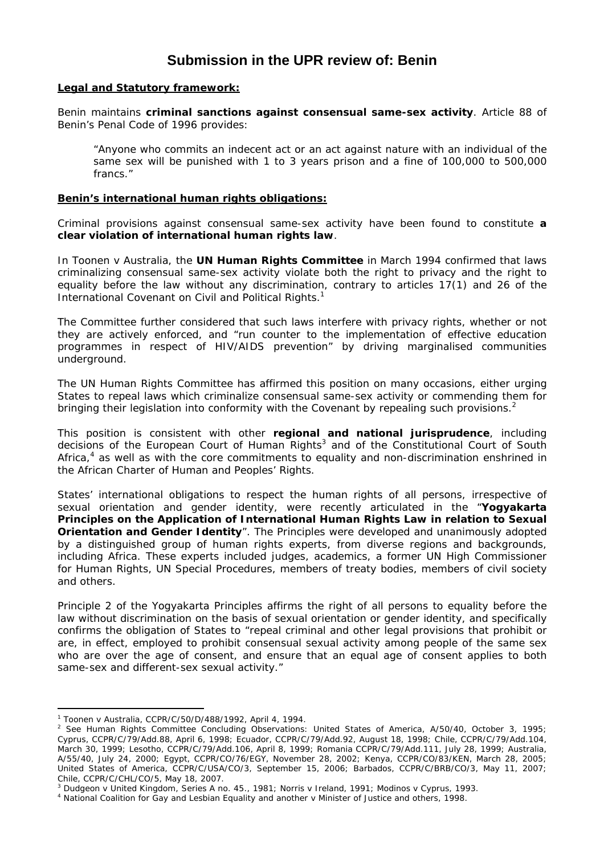# **Submission in the UPR review of: Benin**

#### **Legal and Statutory framework:**

Benin maintains **criminal sanctions against consensual same-sex activity**. Article 88 of Benin's Penal Code of 1996 provides:

"Anyone who commits an indecent act or an act against nature with an individual of the same sex will be punished with 1 to 3 years prison and a fine of 100,000 to 500,000 francs."

#### **Benin's international human rights obligations:**

Criminal provisions against consensual same-sex activity have been found to constitute **a clear violation of international human rights law**.

In *Toonen v Australia*, the **UN Human Rights Committee** in March 1994 confirmed that laws criminalizing consensual same-sex activity violate both the right to privacy and the right to equality before the law without any discrimination, contrary to articles 17(1) and 26 of the International Covenant on Civil and Political Rights.<sup>1</sup>

The Committee further considered that such laws interfere with privacy rights, whether or not they are actively enforced, and "run counter to the implementation of effective education programmes in respect of HIV/AIDS prevention" by driving marginalised communities underground.

The UN Human Rights Committee has affirmed this position on many occasions, either urging States to repeal laws which criminalize consensual same-sex activity or commending them for bringing their legislation into conformity with the Covenant by repealing such provisions.<sup>2</sup>

This position is consistent with other **regional and national jurisprudence**, including decisions of the European Court of Human Rights<sup>3</sup> and of the Constitutional Court of South Africa, $4$  as well as with the core commitments to equality and non-discrimination enshrined in the *African Charter of Human and Peoples' Rights*.

States' international obligations to respect the human rights of all persons, irrespective of sexual orientation and gender identity, were recently articulated in the "*Yogyakarta Principles on the Application of International Human Rights Law in relation to Sexual Orientation and Gender Identity*". The Principles were developed and unanimously adopted by a distinguished group of human rights experts, from diverse regions and backgrounds, including Africa. These experts included judges, academics, a former UN High Commissioner for Human Rights, UN Special Procedures, members of treaty bodies, members of civil society and others.

Principle 2 of the Yogyakarta Principles affirms the right of all persons to equality before the law without discrimination on the basis of sexual orientation or gender identity, and specifically confirms the obligation of States to "repeal criminal and other legal provisions that prohibit or are, in effect, employed to prohibit consensual sexual activity among people of the same sex who are over the age of consent, and ensure that an equal age of consent applies to both same-sex and different-sex sexual activity."

 $\overline{a}$ 

<sup>1</sup> *Toonen* v *Australia*, CCPR/C/50/D/488/1992, April 4, 1994. 2

<sup>&</sup>lt;sup>2</sup> See Human Rights Committee Concluding Observations: United States of America, A/50/40, October 3, 1995; Cyprus, CCPR/C/79/Add.88, April 6, 1998; Ecuador, CCPR/C/79/Add.92, August 18, 1998; Chile, CCPR/C/79/Add.104, March 30, 1999; Lesotho, CCPR/C/79/Add.106, April 8, 1999; Romania CCPR/C/79/Add.111, July 28, 1999; Australia, A/55/40, July 24, 2000; Egypt, CCPR/CO/76/EGY, November 28, 2002; Kenya, CCPR/CO/83/KEN, March 28, 2005; United States of America, CCPR/C/USA/CO/3, September 15, 2006; Barbados, CCPR/C/BRB/CO/3, May 11, 2007; Chile, CCPR/C/CHL/CO/5, May 18, 2007.

<sup>&</sup>lt;sup>3</sup> Dudgeon v United Kingdom, Series A no. 45., 1981; Norris v Ireland, 1991; Modinos v Cyprus, 1993.<br><sup>4</sup> National Coalition for Gay and Lesbian Equality and another v Minister of Justice and others, 1998.